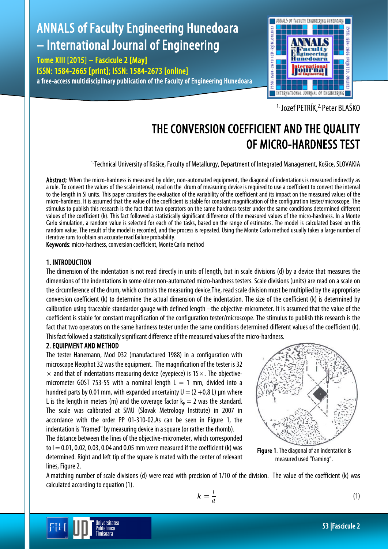# ANNALS of Faculty Engineering Hunedoara – International Journal of Engineering

Tome XIII [2015] – Fascicule 2 [May] ISSN: 1584-2665 [print]; ISSN: 1584-2673 [online] a free-access multidisciplinary publication of the Faculty of Engineering Hunedoara



<sup>1.</sup> Jozef PETRÍK, <sup>2.</sup> Peter BLAŠKO

# THE CONVERSION COEFFICIENT AND THE QUALITY OF MICRO-HARDNESS TEST

<sup>1.</sup> Technical University of Košice, Faculty of Metallurgy, Department of Integrated Management, Košice, SLOVAKIA

Abstract: When the micro-hardness is measured by older, non-automated equipment, the diagonal of indentations is measured indirectly as a rule. To convert the values of the scale interval, read on the drum of measuring device is required to use a coefficient to convert the interval to the length in SI units. This paper considers the evaluation of the variability of the coefficient and its impact on the measured values of the micro-hardness. It is assumed that the value of the coefficient is stable for constant magnification of the configuration tester/microscope. The stimulus to publish this research is the fact that two operators on the same hardness tester under the same conditions determined different values of the coefficient (k). This fact followed a statistically significant difference of the measured values of the micro-hardness. In a Monte Carlo simulation, a random value is selected for each of the tasks, based on the range of estimates. The model is calculated based on this random value. The result of the model is recorded, and the process is repeated. Using the Monte Carlo method usually takes a large number of iterative runs to obtain an accurate read failure probability.

Keywords: micro-hardness, conversion coefficient, Monte Carlo method

# 1. INTRODUCTION

The dimension of the indentation is not read directly in units of length, but in scale divisions (d) by a device that measures the dimensions of the indentations in some older non-automated micro-hardness testers. Scale divisions (units) are read on a scale on the circumference of the drum, which controls the measuring device.The, read scale division must be multiplied by the appropriate conversion coefficient (k) to determine the actual dimension of the indentation. The size of the coefficient (k) is determined by calibration using traceable standardor gauge with defined length –the objective-micrometer. It is assumed that the value of the coefficient is stable for constant magnification of the configuration tester/microscope. The stimulus to publish this research is the fact that two operators on the same hardness tester under the same conditions determined different values of the coefficient (k). This fact followed a statistically significant difference of the measured values of the micro-hardness.

# 2. EQUIPMENT AND METHOD

The tester Hanemann, Mod D32 (manufactured 1988) in a configuration with microscope Neophot 32 was the equipment. The magnification of the tester is 32  $\times$  and that of indentations measuring device (eyepiece) is 15 $\times$ . The objectivemicrometer GOST 753-55 with a nominal length  $L = 1$  mm, divided into a hundred parts by 0.01 mm, with expanded uncertainty  $U = (2 + 0.8)$  L) um where L is the length in meters (m) and the coverage factor  $k_p = 2$  was the standard. The scale was calibrated at SMU (Slovak Metrology Institute) in 2007 in accordance with the order PP 01-310-02.As can be seen in Figure 1, the indentation is "framed" by measuring device in a square (or rather the rhomb).

The distance between the lines of the objective-micrometer, which corresponded to  $I = 0.01$ , 0.02, 0.03, 0.04 and 0.05 mm were measured if the coefficient (k) was determined. Right and left tip of the square is mated with the center of relevant lines, Figure 2.

> Iniversitatea Politehnica Timisoara



Figure 1. The diagonal of an indentation is measured used "framing".

A matching number of scale divisions (d) were read with precision of 1/10 of the division. The value of the coefficient (k) was calculated according to equation (1).

$$
k = \frac{l}{d}
$$

(1)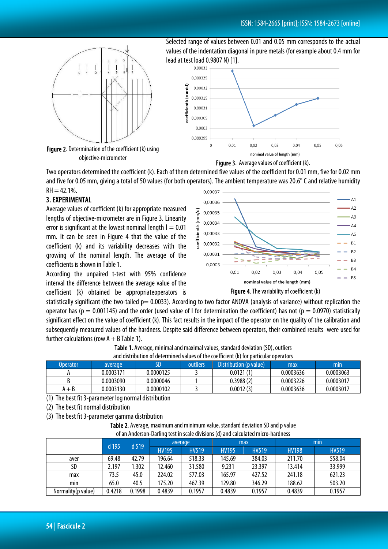

Figure 2. Determination of the coefficient (k) using objective-micrometer

Selected range of values between 0.01 and 0.05 mm corresponds to the actual values of the indentation diagonal in pure metals (for example about 0.4 mm for lead at test load 0.9807 N) [1].





Two operators determined the coefficient (k). Each of them determined five values of the coefficient for 0.01 mm, five for 0.02 mm and five for 0.05 mm, giving a total of 50 values (for both operators). The ambient temperature was 20.6° C and relative humidity  $RH = 42.1\%$ . 0.00037

# 3. EXPERIMENTAL

Average values of coefficient (k) for appropriate measured lengths of objective-micrometer are in Figure 3. Linearity error is significant at the lowest nominal length  $I = 0.01$ mm. It can be seen in Figure 4 that the value of the coefficient (k) and its variability decreases with the growing of the nominal length. The average of the coefficients is shown in Table 1.

According the unpaired t-test with 95% confidence interval the difference between the average value of the coefficient (k) obtained be appropriateoperators is



Figure 4. The variability of coefficient (k)

statistically significant (the two-tailed  $p= 0.0033$ ). According to two factor ANOVA (analysis of variance) without replication the operator has (p = 0.001145) and the order (used value of  $\ell$  for determination the coefficient) has not (p = 0.0970) statistically significant effect on the value of coefficient (k). This fact results in the impact of the operator on the quality of the calibration and subsequently measured values of the hardness. Despite said difference between operators, their combined results were used for further calculations (row  $A + B$  Table 1).

| and distribution of determined values of the coefficient (k) for particular operators |           |           |          |                        |           |           |  |
|---------------------------------------------------------------------------------------|-----------|-----------|----------|------------------------|-----------|-----------|--|
| <b>Operator</b>                                                                       | average   | SD        | outliers | Distribution (p value) | max       | min       |  |
|                                                                                       | 0.0003171 | 0.0000125 |          | 0.0121(1)              | 0.0003636 | 0.0003063 |  |
|                                                                                       | 0.0003090 | 0.0000046 |          | 0.3988(2)              | 0.0003226 | 0.0003017 |  |
| $A + B$                                                                               | 0.0003130 | 0.0000102 |          | 0.0012(3)              | 0.0003636 | 0.0003017 |  |

Table 1. Average, minimal and maximal values, standard deviation (SD), outliers and distribution of determined values of the coefficient (k) for particular operators

(1) The best fit 3-parameter log normal distribution

(2) The best fit normal distribution

(3) The best fit 3-parameter gamma distribution

Table 2. Average, maximum and minimum value, standard deviation SD and p value of an Anderson-Darling test in scale divisions (d) and calculated micro-hardness

|                    | $d$ 195 | d 519  | average      |              | max          |              | min          |              |
|--------------------|---------|--------|--------------|--------------|--------------|--------------|--------------|--------------|
|                    |         |        | <b>HV195</b> | <b>HV519</b> | <b>HV195</b> | <b>HV519</b> | <b>HV198</b> | <b>HV519</b> |
| aver               | 69.48   | 42.79  | 196.64       | 518.33       | 145.69       | 384.03       | 211.70       | 558.04       |
| SD                 | 2.197   | .302   | 12.460       | 31.580       | 9.231        | 23.397       | 13.414       | 33.999       |
| max                | 73.5    | 45.0   | 224.02       | 577.03       | 165.97       | 427.52       | 241.18       | 621.23       |
| min                | 65.0    | 40.5   | 175.20       | 467.39       | 129.80       | 346.29       | 188.62       | 503.20       |
| Normality(p value) | 0.4218  | 0.1998 | 0.4839       | 0.1957       | 0.4839       | 0.1957       | 0.4839       | 0.1957       |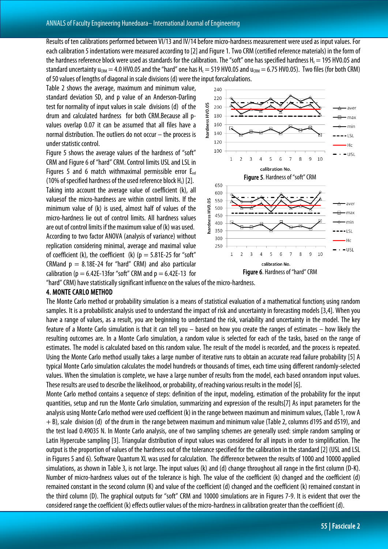Results of ten calibrations performed between VI/13 and IV/14 before micro-hardness measurement were used as input values. For each calibration 5 indentations were measured according to [2] and Figure 1. Two CRM (certified reference materials) in the form of the hardness reference block were used as standards for the calibration. The "soft" one has specified hardness  $H_c = 195$  HV0.05 and standard uncertainty  $u_{\text{CBM}} = 4.0$  HV0.05 and the "hard" one has H<sub>c</sub> = 519 HV0.05 and  $u_{\text{CBM}} = 6.75$  HV0.05). Two files (for both CRM) of 50 values of lengths of diagonal in scale divisions (d) were the input forcalculations.

Table 2 shows the average, maximum and minimum value, standard deviation SD, and p value of an Anderson-Darling test for normality of input values in scale divisions (d) of the drum and calculated hardness for both CRM.Because all pvalues overlap 0.07 it can be assumed that all files have a normal distribution. The outliers do not occur – the process is under statistic control.

Figure 5 shows the average values of the hardness of "soft" CRM and Figure 6 of "hard" CRM. Control limits USL and LSL in Figures 5 and 6 match withmaximal permissible error  $E_{rel}$ (10% of specified hardness of the used reference block  $H<sub>c</sub>$ ) [2]. Taking into account the average value of coefficient (k), all valuesof the micro-hardness are within control limits. If the minimum value of (k) is used, almost half of values of the micro-hardness lie out of control limits. All hardness values are out of control limits if the maximum value of (k) was used. According to two factor ANOVA (analysis of variance) without replication considering minimal, average and maximal value of coefficient (k), the coefficient (k) ( $p = 5.81E-25$  for "soft" CRMand  $p = 8.18E-24$  for "hard" CRM) and also particular calibration ( $p = 6.42E-13$  for "soft" CRM and  $p = 6.42E-13$  for



"hard" CRM) have statistically significant influence on the values of the micro-hardness.

#### 4. MONTE CARLO METHOD

The Monte Carlo method or probability simulation is a means of statistical evaluation of a mathematical functions using random samples. It is a probabilistic analysis used to understand the impact of risk and uncertainty in forecasting models [3,4]. When you have a range of values, as a result, you are beginning to understand the risk, variability and uncertainty in the model. The key feature of a Monte Carlo simulation is that it can tell you – based on how you create the ranges of estimates – how likely the resulting outcomes are. In a Monte Carlo simulation, a random value is selected for each of the tasks, based on the range of estimates. The model is calculated based on this random value. The result of the model is recorded, and the process is repeated. Using the Monte Carlo method usually takes a large number of iterative runs to obtain an accurate read failure probability [5] A typical Monte Carlo simulation calculates the model hundreds or thousands of times, each time using different randomly-selected values. When the simulation is complete, we have a large number of results from the model, each based onrandom input values. These results are used to describe the likelihood, or probability, of reaching various results in the model [6].

Monte Carlo method contains a sequence of steps: definition of the input, modeling, estimation of the probability for the input quantities, setup and run the Monte Carlo simulation, summarizing and expression of the results[7] As input parameters for the analysis using Monte Carlo method were used coefficient (k) in the range between maximum and minimum values, (Table 1, row A + B), scale division (d) of the drum in the range between maximum and minimum value (Table 2, columns d195 and d519), and the test load 0.49035 N. In Monte Carlo analysis, one of two sampling schemes are generally used: simple random sampling or Latin Hypercube sampling [3]. Triangular distribution of input values was considered for all inputs in order to simplification. The output is the proportion of values of the hardness out of the tolerance specified for the calibration in the standard [2] (USL and LSL in Figures 5 and 6). Software Quantum XL was used for calculation. The difference between the results of 1000 and 10000 applied simulations, as shown in Table 3, is not large. The input values (k) and (d) change throughout all range in the first column (D-K). Number of micro-hardness values out of the tolerance is high. The value of the coefficient (k) changed and the coefficient (d) remained constant in the second column (K) and value of the coefficient (d) changed and the coefficient (k) remained constant in the third column (D). The graphical outputs for "soft" CRM and 10000 simulations are in Figures 7-9. It is evident that over the considered range the coefficient (k) effects outlier values of the micro-hardness in calibration greater than the coefficient (d).